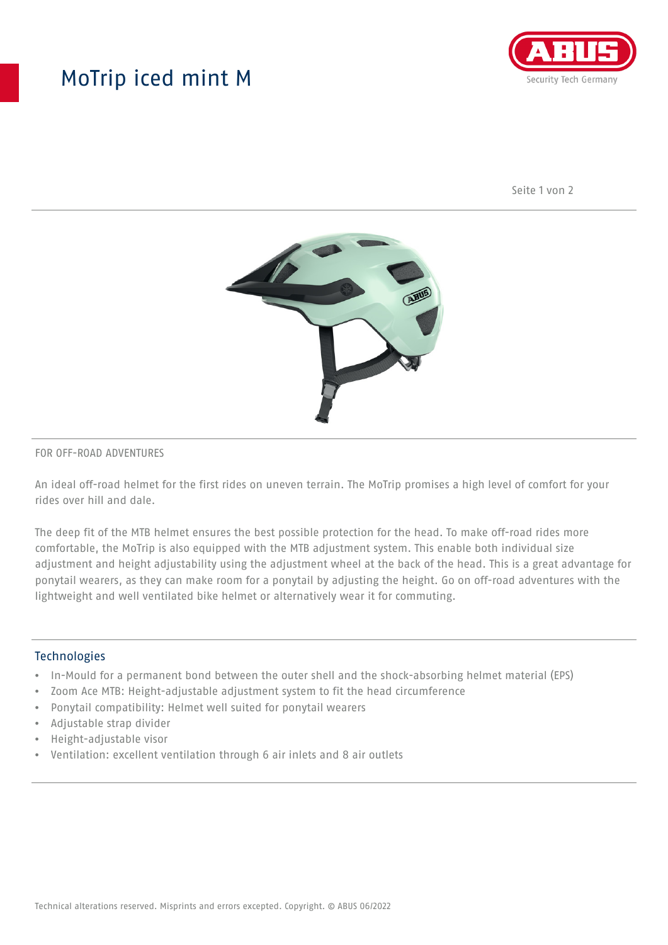## MoTrip iced mint M



Seite 1 von 2



#### FOR OFF-ROAD ADVENTURES

An ideal off-road helmet for the first rides on uneven terrain. The MoTrip promises a high level of comfort for your rides over hill and dale.

The deep fit of the MTB helmet ensures the best possible protection for the head. To make off-road rides more comfortable, the MoTrip is also equipped with the MTB adjustment system. This enable both individual size adjustment and height adjustability using the adjustment wheel at the back of the head. This is a great advantage for ponytail wearers, as they can make room for a ponytail by adjusting the height. Go on off-road adventures with the lightweight and well ventilated bike helmet or alternatively wear it for commuting.

#### Technologies

- In-Mould for a permanent bond between the outer shell and the shock-absorbing helmet material (EPS)
- Zoom Ace MTB: Height-adjustable adjustment system to fit the head circumference
- Ponytail compatibility: Helmet well suited for ponytail wearers
- Adjustable strap divider
- Height-adjustable visor
- Ventilation: excellent ventilation through 6 air inlets and 8 air outlets